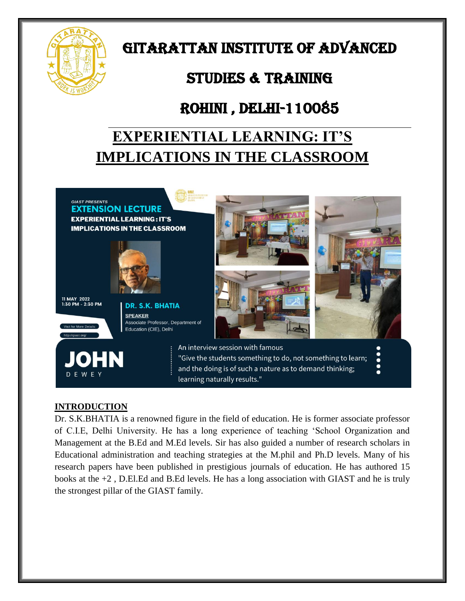

# GITARATTAN INSTITUTE OF ADVANCED

## STUDIES & TRAINING

## Rohini , Delhi-110085

# **EXPERIENTIAL LEARNING: IT'S IMPLICATIONS IN THE CLASSROOM**



### **INTRODUCTION**

Dr. S.K.BHATIA is a renowned figure in the field of education. He is former associate professor of C.I.E, Delhi University. He has a long experience of teaching "School Organization and Management at the B.Ed and M.Ed levels. Sir has also guided a number of research scholars in Educational administration and teaching strategies at the M.phil and Ph.D levels. Many of his research papers have been published in prestigious journals of education. He has authored 15 books at the +2 , D.El.Ed and B.Ed levels. He has a long association with GIAST and he is truly the strongest pillar of the GIAST family.